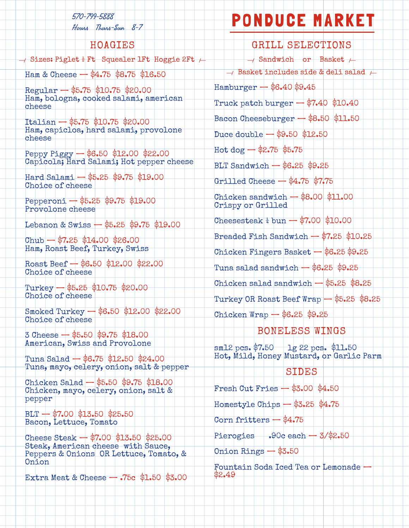#### 570-799-5888

Hours Thurs-Sun 8-7

## HOAGIES

 $\rightarrow$  Sizes: Piglet  $\frac{1}{2}$  Ft Squealer 1Ft Hoggie 2Ft  $\rightarrow$ 

Ham & Cheese  $-$  \$4.75 \$8.75 \$16.50

Regular — \$5.75 \$10.75 \$20.00 Ham, bologna, cooked salami, american cheese

Italian — \$5.75 \$10.75 \$20.00 Ham, capicloa, hard salami, provolone cheese

Peppy Piggy — \$6.50 \$12.00 \$22.00 Capicola; Hard Salami; Hot pepper cheese

Hard Salami — \$5.25 \$9.75 \$19.00 Choice of cheese

Pepperoni — \$5.25 \$9.75 \$19.00 Provolone cheese

Lebanon & Swiss — \$5.25 \$9.75 \$19.00

 $Chub - $7.25$  \$14.00 \$26.00 Ham, Roast Beef, Turkey, Swiss

Roast Beef — \$6.50 \$12.00 \$22.00 Choice of cheese

Turkey — \$5.25 \$10.75 \$20.00 Choice of cheese

Smoked Turkey — \$6.50 \$12.00 \$22.00 Choice of cheese

3 Cheese — \$5.50 \$9.75 \$18.00 American, Swiss and Provolone

Tuna Salad — \$6.75 \$12.50 \$24.00 Tuna, mayo, celery, onion, salt & pepper

Chicken Salad — \$5.50 \$9.75 \$18.00 Chicken, mayo, celery, onion, salt & pepper

 $BLT - $7.00$  \$13.50 \$25.50 Bacon, Lettuce, Tomato

Cheese Steak — \$7.00 \$13.50 \$25.00 Steak, American cheese with Sauce, Peppers & Onions OR Lettuce, Tomato, & Onion

Extra Meat & Cheese — .75c \$1.50 \$3.00

# PONDUCE MARKET

GRILL SELECTIONS  $\rightarrow$  Sandwich or Basket  $\rightarrow$  $\rightarrow$  Basket includes side & deli salad  $\rightarrow$ Hamburger — \$6.40 \$9.45 Truck patch burger  $-$  \$7.40 \$10.40 Bacon Cheeseburger — \$8.50 \$11.50 Duce double — \$9.50 \$12.50 Hot dog  $-$  \$2.75 \$5.75  $BLT$  Sandwich  $-$  \$6.25 \$9.25 Grilled Cheese — \$4.75 \$7.75 Chicken sandwich — \$8.00 \$11.00 Crispy or Grilled  $\text{Cheesesteak} \frac{1}{4} \text{ bun} - \$7.00 \frac{1}{10.00}$ Breaded Fish Sandwich  $-$  \$7.25 \$10.25 Chicken Fingers Basket — \$6.25 \$9.25 Tuna salad sandwich  $6.25$   $9.25$ Chicken salad sandwich  $-$  \$5.25 \$8.25 Turkey OR Roast Beef Wrap — \$5.25 \$8.25 Chicken Wrap — \$6.25 \$9.25

### BONELESS WINGS

 $sm12 pcs. $7.50$  lg 22 pcs. \$11.50 Hot, Mild, Honey Mustard, or Garlic Parm

#### **SIDES**

Fresh Cut Fries — \$3.00 \$4.50

Homestyle Chips — \$3.25 \$4.75

Corn fritters — \$4.75

Pierogies  $.90c$  each  $-3/82.50$ 

Onion Rings  $-$  \$3.50

Fountain Soda Iced Tea or Lemonade — \$2.49